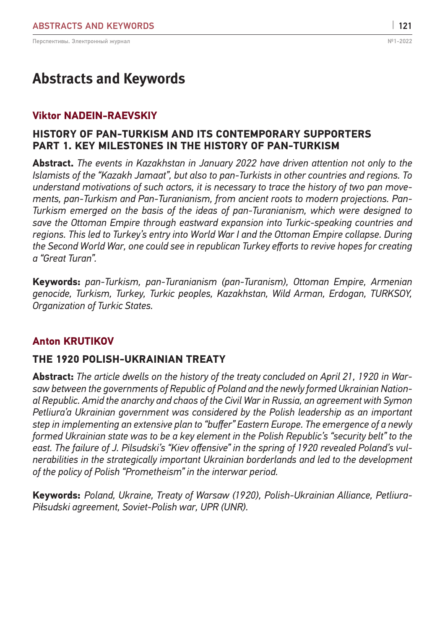# **Abstracts and Keywords**

### **Viktor NADEIN-RAEVSKIY**

# **HISTORY OF PAN-TURKISM AND ITS CONTEMPORARY SUPPORTERS Part 1. Key Milestones in the History of Pan-Turkism**

**Abstract.** *The events in Kazakhstan in January 2022 have driven attention not only to the Islamists of the "Kazakh Jamaat", but also to pan-Turkists in other countries and regions. To understand motivations of such actors, it is necessary to trace the history of two pan movements, pan-Turkism and Pan-Turanianism, from ancient roots to modern projections. Pan-Turkism emerged on the basis of the ideas of pan-Turanianism, which were designed to save the Ottoman Empire through eastward expansion into Turkic-speaking countries and regions. This led to Turkey's entry into World War I and the Ottoman Empire collapse. During the Second World War, one could see in republican Turkey efforts to revive hopes for creating a "Great Turan".* 

**Keywords:** *pan-Turkism, pan-Turanianism (pan-Turanism), Ottoman Empire, Armenian genocide, Turkism, Turkey, Turkic peoples, Kazakhstan, Wild Arman, Erdogan, TURKSOY, Organization of Turkic States.*

# **Anton KRUTIKOV**

# **THE 1920 POLISH-UKRAINIAN TREATY**

**Abstract:** *The article dwells on the history of the treaty concluded on April 21, 1920 in Warsaw between the governments of Republic of Poland and the newly formed Ukrainian National Republic. Amid the anarchy and chaos of the Civil War in Russia, an agreement with Symon Petliura'a Ukrainian government was considered by the Polish leadership as an important step in implementing an extensive plan to "buffer" Eastern Europe. The emergence of a newly formed Ukrainian state was to be a key element in the Polish Republic's "security belt" to the east. The failure of J. Pilsudski's "Kiev offensive" in the spring of 1920 revealed Poland's vulnerabilities in the strategically important Ukrainian borderlands and led to the development of the policy of Polish "Prometheism" in the interwar period.*

**Keywords:** *Poland, Ukraine, Treaty of Warsaw (1920), Polish-Ukrainian Alliance, Petliura-Piłsudski agreement, Soviet-Polish war, UPR (UNR).*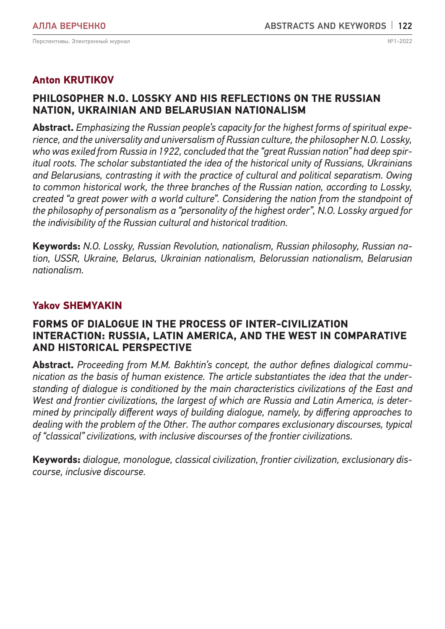# **Anton KRUTIKOV**

### **PHILOSOPHER N.O. LOSSKY AND HIS REFLECTIONS ON THE RUSSIAN NATION, UKRAINIAN AND BELARUSIAN NATIONALISM**

**Abstract.** *Emphasizing the Russian people's capacity for the highest forms of spiritual experience, and the universality and universalism of Russian culture, the philosopher N.O. Lossky, who was exiled from Russia in 1922, concluded that the "great Russian nation" had deep spiritual roots. The scholar substantiated the idea of the historical unity of Russians, Ukrainians and Belarusians, contrasting it with the practice of cultural and political separatism. Owing to common historical work, the three branches of the Russian nation, according to Lossky, created "a great power with a world culture". Considering the nation from the standpoint of the philosophy of personalism as a "personality of the highest order", N.O. Lossky argued for the indivisibility of the Russian cultural and historical tradition.* 

**Keywords:** *N.O. Lossky, Russian Revolution, nationalism, Russian philosophy, Russian nation, USSR, Ukraine, Belarus, Ukrainian nationalism, Belorussian nationalism, Belarusian nationalism.*

#### **Yakov SHEMYAKIN**

#### **FORMS OF DIALOGUE IN THE PROCESS OF INTER-CIVILIZATION INTERACTION: RUSSIA, LATIN AMERICA, AND THE WEST IN COMPARATIVE AND HISTORICAL PERSPECTIVE**

**Abstract.** *Proceeding from M.M. Bakhtin's concept, the author defines dialogical communication as the basis of human existence. The article substantiates the idea that the understanding of dialogue is conditioned by the main characteristics civilizations of the East and West and frontier civilizations, the largest of which are Russia and Latin America, is determined by principally different ways of building dialogue, namely, by differing approaches to dealing with the problem of the Other. The author compares exclusionary discourses, typical of "classical" civilizations, with inclusive discourses of the frontier civilizations.* 

**Keywords:** *dialogue, monologue, classical civilization, frontier civilization, exclusionary discourse, inclusive discourse.*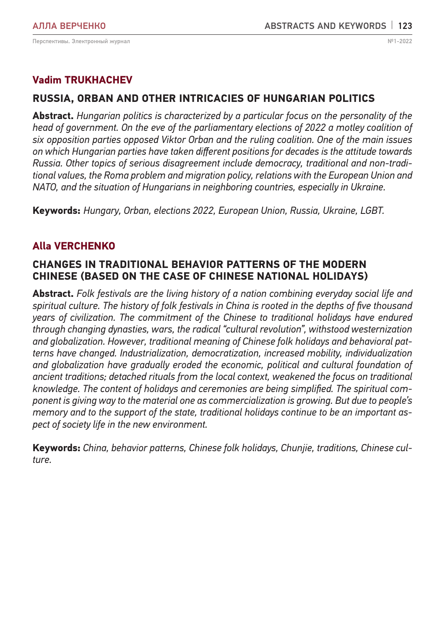# **Vadim TRUKHACHEV**

### **RUSSIA, ORBAN AND OTHER INTRICACIES OF HUNGARIAN POLITICS**

**Abstract.** *Hungarian politics is characterized by a particular focus on the personality of the head of government. On the eve of the parliamentary elections of 2022 a motley coalition of six opposition parties opposed Viktor Orban and the ruling coalition. One of the main issues on which Hungarian parties have taken different positions for decades is the attitude towards Russia. Other topics of serious disagreement include democracy, traditional and non-traditional values, the Roma problem and migration policy, relations with the European Union and NATO, and the situation of Hungarians in neighboring countries, especially in Ukraine.*

**Keywords:** *Hungary, Orban, elections 2022, European Union, Russia, Ukraine, LGBT.*

#### **Alla VERCHENKO**

# **CHANGES IN TRADITIONAL BEHAVIOR PATTERNS OF THE MODERN CHINESE (BASED ON THE CASE OF CHINESE NATIONAL HOLIDAYS)**

**Abstract.** *Folk festivals are the living history of a nation combining everyday social life and spiritual culture. The history of folk festivals in China is rooted in the depths of five thousand years of civilization. The commitment of the Chinese to traditional holidays have endured through changing dynasties, wars, the radical "cultural revolution", withstood westernization and globalization. However, traditional meaning of Chinese folk holidays and behavioral patterns have changed. Industrialization, democratization, increased mobility, individualization and globalization have gradually eroded the economic, political and cultural foundation of ancient traditions; detached rituals from the local context, weakened the focus on traditional knowledge. The content of holidays and ceremonies are being simplified. The spiritual component is giving way to the material one as commercialization is growing. But due to people's memory and to the support of the state, traditional holidays continue to be an important aspect of society life in the new environment.*

**Keywords:** *China, behavior patterns, Chinese folk holidays, Chunjie, traditions, Chinese culture.*